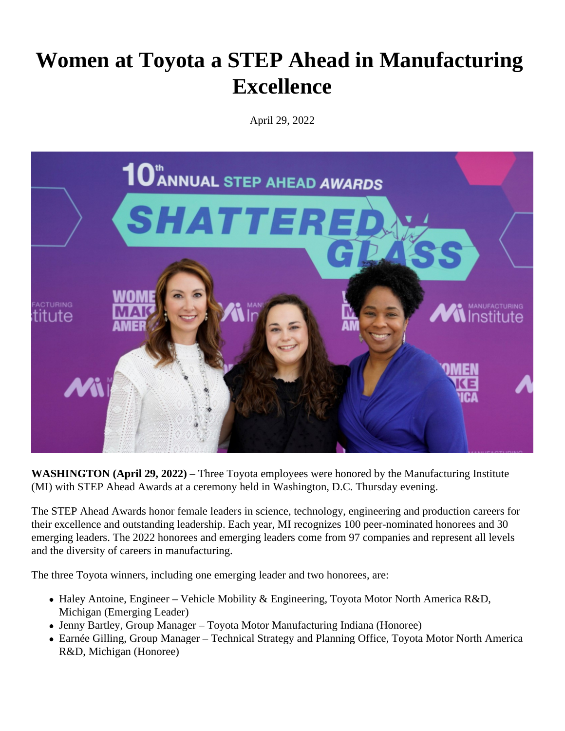## **Women at Toyota a STEP Ahead in Manufacturing Excellence**

April 29, 2022



**WASHINGTON (April 29, 2022)** – Three Toyota employees were honored by the Manufacturing Institute (MI) with STEP Ahead Awards at a ceremony held in Washington, D.C. Thursday evening.

The STEP Ahead Awards honor female leaders in science, technology, engineering and production careers for their excellence and outstanding leadership. Each year, MI recognizes 100 peer-nominated honorees and 30 emerging leaders. The 2022 honorees and emerging leaders come from 97 companies and represent all levels and the diversity of careers in manufacturing.

The three Toyota winners, including one emerging leader and two honorees, are:

- Haley Antoine, Engineer Vehicle Mobility & Engineering, Toyota Motor North America R&D, Michigan (Emerging Leader)
- Jenny Bartley, Group Manager Toyota Motor Manufacturing Indiana (Honoree)
- Earnée Gilling, Group Manager Technical Strategy and Planning Office, Toyota Motor North America R&D, Michigan (Honoree)